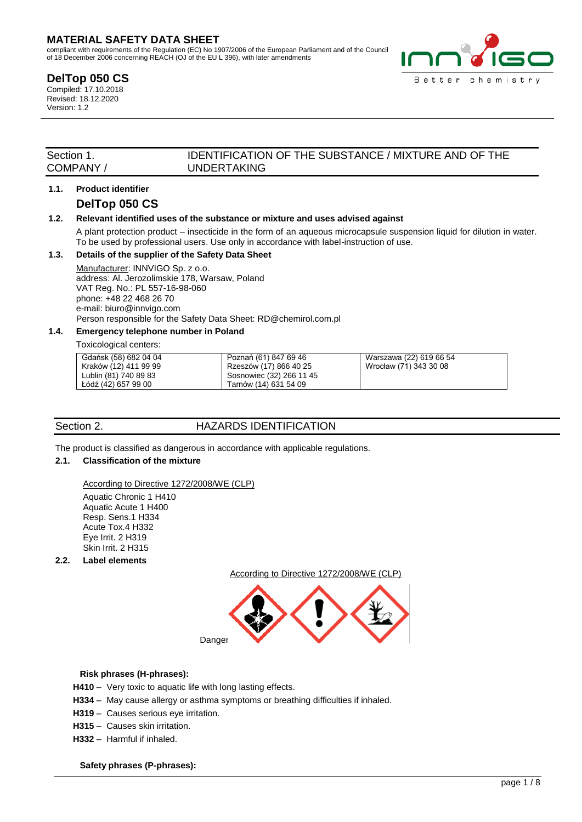# **MATERIAL SAFETY DATA SHEET**

compliant with requirements of the Regulation (EC) No 1907/2006 of the European Parliament and of the Council of 18 December 2006 concerning REACH (OJ of the EU L 396), with later amendments

# **DelTop 050 CS**

Compiled: 17.10.2018 Revised: 18.12.2020 Version: 1.2



# Section 1. IDENTIFICATION OF THE SUBSTANCE / MIXTURE AND OF THE COMPANY / UNDERTAKING **UNDERTAKING**

# **1.1. Product identifier**

# **DelTop 050 CS**

### **1.2. Relevant identified uses of the substance or mixture and uses advised against**

A plant protection product – insecticide in the form of an aqueous microcapsule suspension liquid for dilution in water. To be used by professional users. Use only in accordance with label-instruction of use.

# **1.3. Details of the supplier of the Safety Data Sheet**

Manufacturer: INNVIGO Sp. z o.o. address: Al. Jerozolimskie 178, Warsaw, Poland VAT Reg. No.: PL 557-16-98-060 phone: +48 22 468 26 70 e-mail: biuro@innvigo.com Person responsible for the Safety Data Sheet: RD@chemirol.com.pl

# **1.4. Emergency telephone number in Poland**

Toxicological centers:

| Gdańsk (58) 682 04 04 | Poznań (61) 847 69 46    | Warszawa (22) 619 66 54 |
|-----------------------|--------------------------|-------------------------|
| Kraków (12) 411 99 99 | Rzeszów (17) 866 40 25   | Wrocław (71) 343 30 08  |
| Lublin (81) 740 89 83 | Sosnowiec (32) 266 11 45 |                         |
| Łódź (42) 657 99 00   | Tarnów (14) 631 54 09    |                         |

# Section 2. **HAZARDS IDENTIFICATION**

The product is classified as dangerous in accordance with applicable regulations.

### **2.1. Classification of the mixture**

According to Directive 1272/2008/WE (CLP)

Aquatic Chronic 1 H410 Aquatic Acute 1 H400 Resp. Sens.1 H334 Acute Tox.4 H332 Eye Irrit. 2 H319 Skin Irrit. 2 H315

**2.2. Label elements**

According to Directive 1272/2008/WE (CLP)



### **Risk phrases (H-phrases):**

- **H410**  Very toxic to aquatic life with long lasting effects.
- **H334**  May cause allergy or asthma symptoms or breathing difficulties if inhaled.
- **H319**  Causes serious eye irritation.
- **H315**  Causes skin irritation.
- **H332**  Harmful if inhaled.

 **Safety phrases (P-phrases):**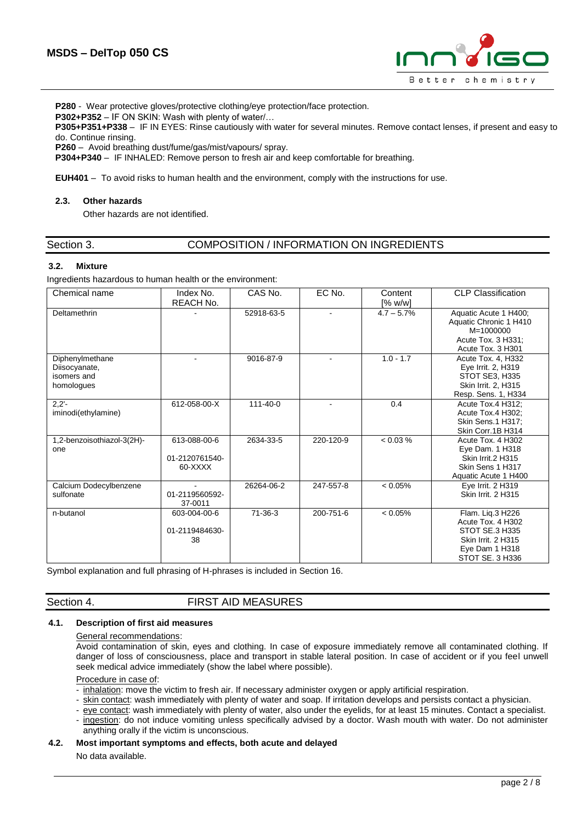

**P280** - Wear protective gloves/protective clothing/eye protection/face protection.

**P302+P352** – IF ON SKIN: Wash with plenty of water/…

**P305+P351+P338** – IF IN EYES: Rinse cautiously with water for several minutes. Remove contact lenses, if present and easy to do. Continue rinsing.

**P260** – Avoid breathing dust/fume/gas/mist/vapours/ spray.

**P304+P340** – IF INHALED: Remove person to fresh air and keep comfortable for breathing.

**EUH401** – To avoid risks to human health and the environment, comply with the instructions for use.

#### **2.3. Other hazards**

Other hazards are not identified.

| Section 3. |  |
|------------|--|
|            |  |

### COMPOSITION / INFORMATION ON INGREDIENTS

#### **3.2. Mixture**

Ingredients hazardous to human health or the environment:

| Chemical name                                                 | Index No.<br>REACH No.                                | CAS No.        | EC No.    | Content<br>[% w/w] | <b>CLP Classification</b>                                                                                          |
|---------------------------------------------------------------|-------------------------------------------------------|----------------|-----------|--------------------|--------------------------------------------------------------------------------------------------------------------|
| Deltamethrin                                                  |                                                       | 52918-63-5     |           | $4.7 - 5.7\%$      | Aquatic Acute 1 H400;<br>Aquatic Chronic 1 H410<br>$M = 1000000$<br>Acute Tox. 3 H331;<br>Acute Tox. 3 H301        |
| Diphenylmethane<br>Diisocyanate,<br>isomers and<br>homologues |                                                       | 9016-87-9      |           | $1.0 - 1.7$        | Acute Tox. 4, H332<br>Eye Irrit. 2, H319<br>STOT SE3, H335<br>Skin Irrit. 2, H315<br>Resp. Sens. 1, H334           |
| $2,2'-$<br>iminodi(ethylamine)                                | 612-058-00-X                                          | $111 - 40 - 0$ |           | 0.4                | Acute Tox.4 H312;<br>Acute Tox.4 H302;<br>Skin Sens.1 H317;<br>Skin Corr.1B H314                                   |
| 1,2-benzoisothiazol-3(2H)-<br>one                             | 613-088-00-6<br>01-2120761540-<br>60-XXXX             | 2634-33-5      | 220-120-9 | < 0.03 %           | Acute Tox. 4 H302<br>Eye Dam. 1 H318<br>Skin Irrit.2 H315<br>Skin Sens 1 H317<br>Aquatic Acute 1 H400              |
| Calcium Dodecylbenzene<br>sulfonate                           | $\overline{\phantom{a}}$<br>01-2119560592-<br>37-0011 | 26264-06-2     | 247-557-8 | < 0.05%            | Eye Irrit. 2 H319<br>Skin Irrit. 2 H315                                                                            |
| n-butanol                                                     | 603-004-00-6<br>01-2119484630-<br>38                  | $71-36-3$      | 200-751-6 | < 0.05%            | Flam. Lig.3 H226<br>Acute Tox. 4 H302<br>STOT SE.3 H335<br>Skin Irrit. 2 H315<br>Eye Dam 1 H318<br>STOT SE, 3 H336 |

Symbol explanation and full phrasing of H-phrases is included in Section 16.

Section 4. **FIRST AID MEASURES** 

#### **4.1. Description of first aid measures**

#### General recommendations:

Avoid contamination of skin, eyes and clothing. In case of exposure immediately remove all contaminated clothing. If danger of loss of consciousness, place and transport in stable lateral position. In case of accident or if you feel unwell seek medical advice immediately (show the label where possible).

#### Procedure in case of:

- inhalation: move the victim to fresh air. If necessary administer oxygen or apply artificial respiration.
- skin contact: wash immediately with plenty of water and soap. If irritation develops and persists contact a physician.
- eye contact: wash immediately with plenty of water, also under the eyelids, for at least 15 minutes. Contact a specialist.
- ingestion: do not induce vomiting unless specifically advised by a doctor. Wash mouth with water. Do not administer anything orally if the victim is unconscious.

#### **4.2. Most important symptoms and effects, both acute and delayed**

No data available.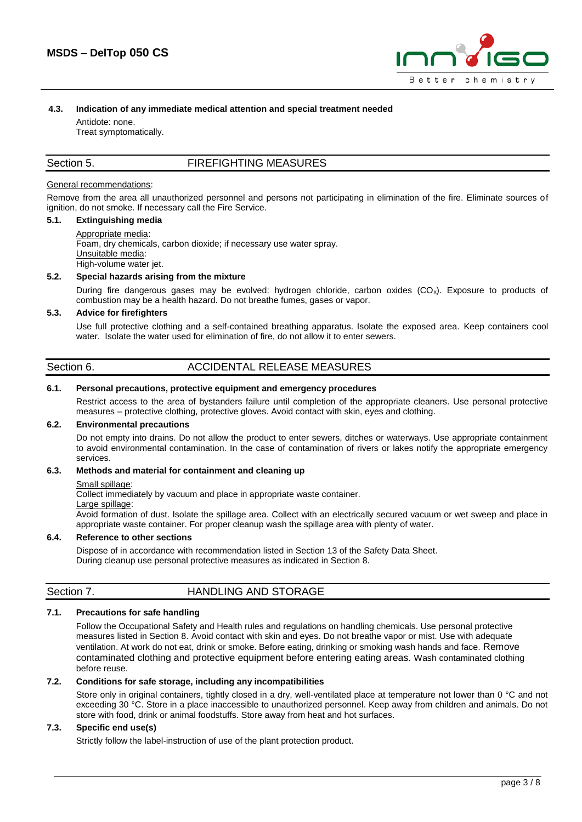

#### **4.3. Indication of any immediate medical attention and special treatment needed**

Antidote: none. Treat symptomatically.

# Section 5. FIREFIGHTING MEASURES

#### General recommendations:

Remove from the area all unauthorized personnel and persons not participating in elimination of the fire. Eliminate sources of ignition, do not smoke. If necessary call the Fire Service.

# **5.1. Extinguishing media**

Appropriate media: Foam, dry chemicals, carbon dioxide; if necessary use water spray. Unsuitable media: High-volume water jet.

#### **5.2. Special hazards arising from the mixture**

During fire dangerous gases may be evolved: hydrogen chloride, carbon oxides  $(CO<sub>x</sub>)$ . Exposure to products of combustion may be a health hazard. Do not breathe fumes, gases or vapor.

#### **5.3. Advice for firefighters**

Use full protective clothing and a self-contained breathing apparatus. Isolate the exposed area. Keep containers cool water. Isolate the water used for elimination of fire, do not allow it to enter sewers.

| Section 6. | ACCIDENTAL RELEASE MEASURES |  |
|------------|-----------------------------|--|
|            |                             |  |

#### **6.1. Personal precautions, protective equipment and emergency procedures**

Restrict access to the area of bystanders failure until completion of the appropriate cleaners. Use personal protective measures – protective clothing, protective gloves. Avoid contact with skin, eyes and clothing.

#### **6.2. Environmental precautions**

Do not empty into drains. Do not allow the product to enter sewers, ditches or waterways. Use appropriate containment to avoid environmental contamination. In the case of contamination of rivers or lakes notify the appropriate emergency services.

#### **6.3. Methods and material for containment and cleaning up**

#### Small spillage:

Collect immediately by vacuum and place in appropriate waste container.

#### Large spillage:

Avoid formation of dust. Isolate the spillage area. Collect with an electrically secured vacuum or wet sweep and place in appropriate waste container. For proper cleanup wash the spillage area with plenty of water.

#### **6.4. Reference to other sections**

Dispose of in accordance with recommendation listed in Section 13 of the Safety Data Sheet. During cleanup use personal protective measures as indicated in Section 8.

# Section 7. **HANDLING AND STORAGE**

# **7.1. Precautions for safe handling**

Follow the Occupational Safety and Health rules and regulations on handling chemicals. Use personal protective measures listed in Section 8. Avoid contact with skin and eyes. Do not breathe vapor or mist. Use with adequate ventilation. At work do not eat, drink or smoke. Before eating, drinking or smoking wash hands and face. Remove contaminated clothing and protective equipment before entering eating areas. Wash contaminated clothing before reuse.

#### **7.2. Conditions for safe storage, including any incompatibilities**

Store only in original containers, tightly closed in a dry, well-ventilated place at temperature not lower than 0 °C and not exceeding 30 °C. Store in a place inaccessible to unauthorized personnel. Keep away from children and animals. Do not store with food, drink or animal foodstuffs. Store away from heat and hot surfaces.

#### **7.3. Specific end use(s)**

Strictly follow the label-instruction of use of the plant protection product.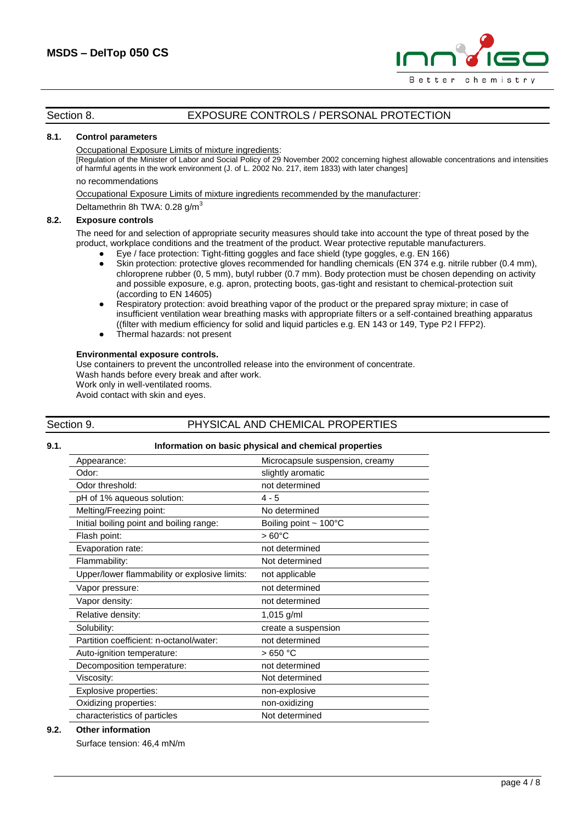

# Section 8. **EXPOSURE CONTROLS / PERSONAL PROTECTION**

#### **8.1. Control parameters**

#### Occupational Exposure Limits of mixture ingredients:

[Regulation of the Minister of Labor and Social Policy of 29 November 2002 concerning highest allowable concentrations and intensities of harmful agents in the work environment (J. of L. 2002 No. 217, item 1833) with later changes]

#### no recommendations

Occupational Exposure Limits of mixture ingredients recommended by the manufacturer:

Deltamethrin 8h TWA: 0.28 g/m<sup>3</sup>

#### **8.2. Exposure controls**

The need for and selection of appropriate security measures should take into account the type of threat posed by the product, workplace conditions and the treatment of the product. Wear protective reputable manufacturers.

- Eye / face protection: Tight-fitting goggles and face shield (type goggles, e.g. EN 166)
- Skin protection: protective gloves recommended for handling chemicals (EN 374 e.g. nitrile rubber (0.4 mm), chloroprene rubber (0, 5 mm), butyl rubber (0.7 mm). Body protection must be chosen depending on activity and possible exposure, e.g. apron, protecting boots, gas-tight and resistant to chemical-protection suit (according to EN 14605)
- Respiratory protection: avoid breathing vapor of the product or the prepared spray mixture; in case of insufficient ventilation wear breathing masks with appropriate filters or a self-contained breathing apparatus ((filter with medium efficiency for solid and liquid particles e.g. EN 143 or 149, Type P2 l FFP2).
- Thermal hazards: not present

#### **Environmental exposure controls.**

Use containers to prevent the uncontrolled release into the environment of concentrate.

Wash hands before every break and after work.

Work only in well-ventilated rooms.

Avoid contact with skin and eyes.

### Section 9. **PHYSICAL AND CHEMICAL PROPERTIES**

# **9.1. Information on basic physical and chemical properties**

| Appearance:                                   | Microcapsule suspension, creamy    |
|-----------------------------------------------|------------------------------------|
| Odor:                                         | slightly aromatic                  |
| Odor threshold:                               | not determined                     |
| pH of 1% aqueous solution:                    | 4 - 5                              |
| Melting/Freezing point:                       | No determined                      |
| Initial boiling point and boiling range:      | Boiling point $\sim 100^{\circ}$ C |
| Flash point:                                  | $>60^{\circ}$ C                    |
| Evaporation rate:                             | not determined                     |
| Flammability:                                 | Not determined                     |
| Upper/lower flammability or explosive limits: | not applicable                     |
| Vapor pressure:                               | not determined                     |
| Vapor density:                                | not determined                     |
| Relative density:                             | 1,015 $g/ml$                       |
| Solubility:                                   | create a suspension                |
| Partition coefficient: n-octanol/water:       | not determined                     |
| Auto-ignition temperature:                    | >650 °C                            |
| Decomposition temperature:                    | not determined                     |
| Viscosity:                                    | Not determined                     |
| Explosive properties:                         | non-explosive                      |
| Oxidizing properties:                         | non-oxidizing                      |
| characteristics of particles                  | Not determined                     |
|                                               |                                    |

#### **9.2. Other information**

Surface tension: 46,4 mN/m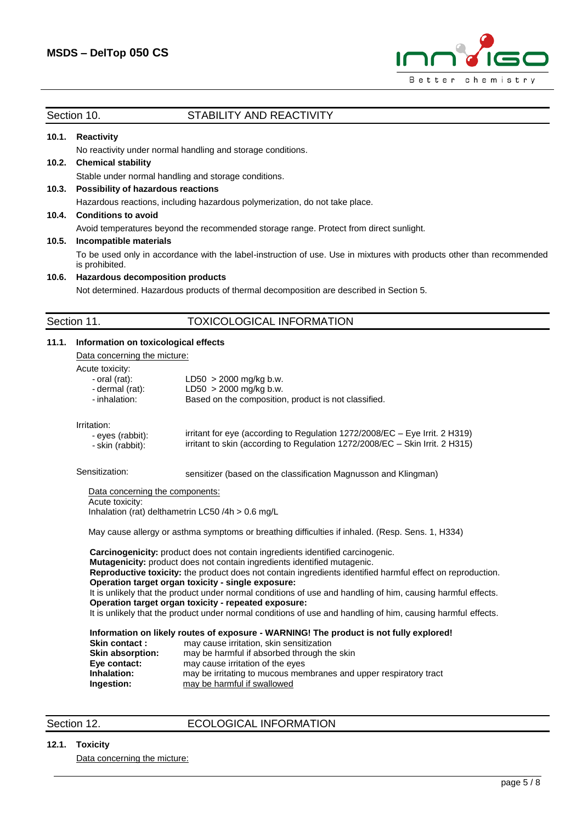

### Section 10. STABILITY AND REACTIVITY

# **10.1. Reactivity**

No reactivity under normal handling and storage conditions.

# **10.2. Chemical stability**

Stable under normal handling and storage conditions.

#### **10.3. Possibility of hazardous reactions**

Hazardous reactions, including hazardous polymerization, do not take place.

#### **10.4. Conditions to avoid**

Avoid temperatures beyond the recommended storage range. Protect from direct sunlight.

#### **10.5. Incompatible materials**

To be used only in accordance with the label-instruction of use. Use in mixtures with products other than recommended is prohibited.

# **10.6. Hazardous decomposition products**

Not determined. Hazardous products of thermal decomposition are described in Section 5.

# Section 11. TOXICOLOGICAL INFORMATION

| 11.1. |                                                                                                  | Information on toxicological effects                                                                                                                             |  |  |  |  |
|-------|--------------------------------------------------------------------------------------------------|------------------------------------------------------------------------------------------------------------------------------------------------------------------|--|--|--|--|
|       | Data concerning the micture:                                                                     |                                                                                                                                                                  |  |  |  |  |
|       | Acute toxicity:                                                                                  |                                                                                                                                                                  |  |  |  |  |
|       | - oral (rat):<br>- dermal (rat):<br>- inhalation:                                                | $LD50 > 2000$ mg/kg b.w.<br>$LD50 > 2000$ mg/kg b.w.                                                                                                             |  |  |  |  |
|       |                                                                                                  |                                                                                                                                                                  |  |  |  |  |
|       |                                                                                                  | Based on the composition, product is not classified.                                                                                                             |  |  |  |  |
|       | Irritation:                                                                                      |                                                                                                                                                                  |  |  |  |  |
|       | - eyes (rabbit):                                                                                 | irritant for eye (according to Regulation 1272/2008/EC – Eye Irrit. 2 H319)                                                                                      |  |  |  |  |
|       | - skin (rabbit):                                                                                 | irritant to skin (according to Regulation 1272/2008/EC - Skin Irrit. 2 H315)                                                                                     |  |  |  |  |
|       | Sensitization:                                                                                   | sensitizer (based on the classification Magnusson and Klingman)                                                                                                  |  |  |  |  |
|       |                                                                                                  | Data concerning the components:                                                                                                                                  |  |  |  |  |
|       | Acute toxicity:                                                                                  |                                                                                                                                                                  |  |  |  |  |
|       | Inhalation (rat) delthametrin LC50 /4h $> 0.6$ mg/L                                              |                                                                                                                                                                  |  |  |  |  |
|       | May cause allergy or asthma symptoms or breathing difficulties if inhaled. (Resp. Sens. 1, H334) |                                                                                                                                                                  |  |  |  |  |
|       | Carcinogenicity: product does not contain ingredients identified carcinogenic.                   |                                                                                                                                                                  |  |  |  |  |
|       |                                                                                                  | Mutagenicity: product does not contain ingredients identified mutagenic.                                                                                         |  |  |  |  |
|       |                                                                                                  | Reproductive toxicity: the product does not contain ingredients identified harmful effect on reproduction.<br>Operation target organ toxicity - single exposure: |  |  |  |  |
|       |                                                                                                  | It is unlikely that the product under normal conditions of use and handling of him, causing harmful effects.                                                     |  |  |  |  |
|       |                                                                                                  | Operation target organ toxicity - repeated exposure:                                                                                                             |  |  |  |  |
|       |                                                                                                  | It is unlikely that the product under normal conditions of use and handling of him, causing harmful effects.                                                     |  |  |  |  |
|       | Information on likely routes of exposure - WARNING! The product is not fully explored!           |                                                                                                                                                                  |  |  |  |  |
|       | Skin contact:                                                                                    | may cause irritation, skin sensitization                                                                                                                         |  |  |  |  |
|       | <b>Skin absorption:</b>                                                                          | may be harmful if absorbed through the skin                                                                                                                      |  |  |  |  |
|       | Eye contact:<br>Inhalation:                                                                      | may cause irritation of the eyes                                                                                                                                 |  |  |  |  |
|       | Ingestion:                                                                                       | may be irritating to mucous membranes and upper respiratory tract<br>may be harmful if swallowed                                                                 |  |  |  |  |
|       |                                                                                                  |                                                                                                                                                                  |  |  |  |  |
|       |                                                                                                  |                                                                                                                                                                  |  |  |  |  |

# Section 12. **ECOLOGICAL INFORMATION**

### **12.1. Toxicity**

Data concerning the micture: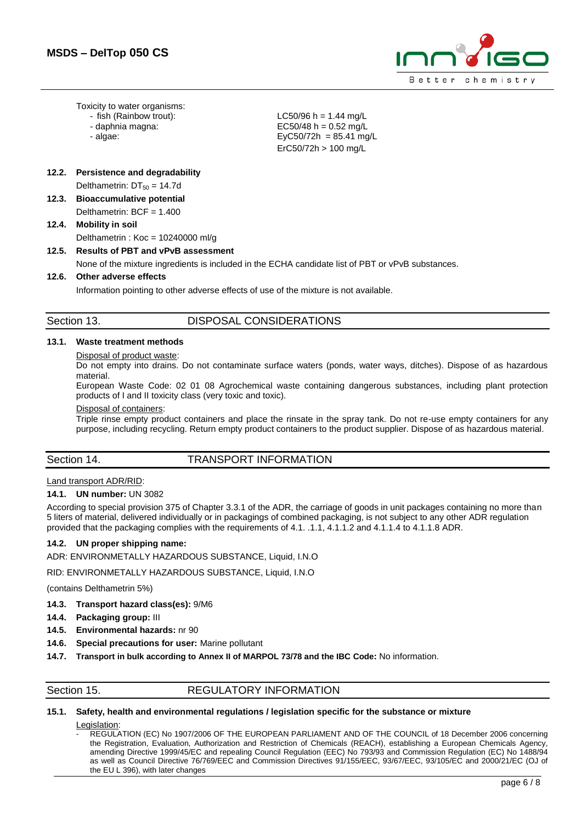

Toxicity to water organisms:

- fish (Rainbow trout):
- daphnia magna:
- algae:

 $LC50/96 h = 1.44 mg/L$ EC50/48 h =  $0.52$  ma/L  $EyC50/72h = 85.41$  mg/L ErC50/72h > 100 mg/L

# **12.2. Persistence and degradability**

Delthametrin:  $DT_{50} = 14.7d$ 

- **12.3. Bioaccumulative potential**
	- Delthametrin: BCF = 1.400

# **12.4. Mobility in soil**

Delthametrin : Koc = 10240000 ml/g

# **12.5. Results of PBT and vPvB assessment**

None of the mixture ingredients is included in the ECHA candidate list of PBT or vPvB substances.

### **12.6. Other adverse effects**

Information pointing to other adverse effects of use of the mixture is not available.

# Section 13. DISPOSAL CONSIDERATIONS

# **13.1. Waste treatment methods**

#### Disposal of product waste:

Do not empty into drains. Do not contaminate surface waters (ponds, water ways, ditches). Dispose of as hazardous material.

European Waste Code: 02 01 08 Agrochemical waste containing dangerous substances, including plant protection products of I and II toxicity class (very toxic and toxic).

#### Disposal of containers:

Triple rinse empty product containers and place the rinsate in the spray tank. Do not re-use empty containers for any purpose, including recycling. Return empty product containers to the product supplier. Dispose of as hazardous material.

# Section 14. TRANSPORT INFORMATION

### Land transport ADR/RID:

#### **14.1. UN number:** UN 3082

According to special provision 375 of Chapter 3.3.1 of the ADR, the carriage of goods in unit packages containing no more than 5 liters of material, delivered individually or in packagings of combined packaging, is not subject to any other ADR regulation provided that the packaging complies with the requirements of 4.1. .1.1, 4.1.1.2 and 4.1.1.4 to 4.1.1.8 ADR.

### **14.2. UN proper shipping name:**

ADR: ENVIRONMETALLY HAZARDOUS SUBSTANCE, Liquid, I.N.O

RID: ENVIRONMETALLY HAZARDOUS SUBSTANCE, Liquid, I.N.O

(contains Delthametrin 5%)

- **14.3. Transport hazard class(es):** 9/M6
- **14.4. Packaging group:** III
- **14.5. Environmental hazards:** nr 90
- **14.6. Special precautions for user:** Marine pollutant
- **14.7. Transport in bulk according to Annex II of MARPOL 73/78 and the IBC Code:** No information.
- 

### Section 15. REGULATORY INFORMATION

### **15.1. Safety, health and environmental regulations / legislation specific for the substance or mixture**

Legislation:

- REGULATION (EC) No 1907/2006 OF THE EUROPEAN PARLIAMENT AND OF THE COUNCIL of 18 December 2006 concerning the Registration, Evaluation, Authorization and Restriction of Chemicals (REACH), establishing a European Chemicals Agency, amending Directive 1999/45/EC and repealing Council Regulation (EEC) No 793/93 and Commission Regulation (EC) No 1488/94 as well as Council Directive 76/769/EEC and Commission Directives 91/155/EEC, 93/67/EEC, 93/105/EC and 2000/21/EC (OJ of the EU L 396), with later changes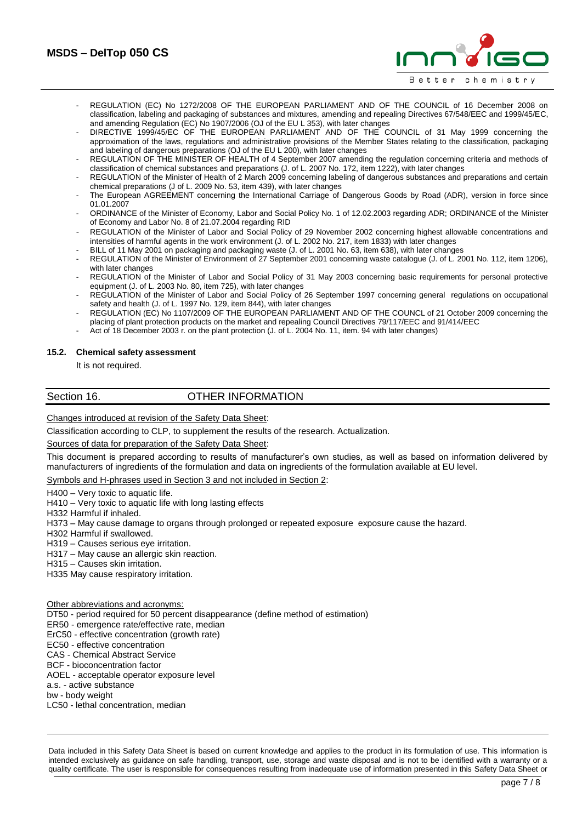

- REGULATION (EC) No 1272/2008 OF THE EUROPEAN PARLIAMENT AND OF THE COUNCIL of 16 December 2008 on classification, labeling and packaging of substances and mixtures, amending and repealing Directives 67/548/EEC and 1999/45/EC, and amending Regulation (EC) No 1907/2006 (OJ of the EU L 353), with later changes
- DIRECTIVE 1999/45/EC OF THE EUROPEAN PARLIAMENT AND OF THE COUNCIL of 31 May 1999 concerning the approximation of the laws, regulations and administrative provisions of the Member States relating to the classification, packaging and labeling of dangerous preparations (OJ of the EU L 200), with later changes
- REGULATION OF THE MINISTER OF HEALTH of 4 September 2007 amending the regulation concerning criteria and methods of classification of chemical substances and preparations (J. of L. 2007 No. 172, item 1222), with later changes
- REGULATION of the Minister of Health of 2 March 2009 concerning labeling of dangerous substances and preparations and certain chemical preparations (J of L. 2009 No. 53, item 439), with later changes
- The European AGREEMENT concerning the International Carriage of Dangerous Goods by Road (ADR), version in force since 01.01.2007
- ORDINANCE of the Minister of Economy, Labor and Social Policy No. 1 of 12.02.2003 regarding ADR; ORDINANCE of the Minister of Economy and Labor No. 8 of 21.07.2004 regarding RID
- REGULATION of the Minister of Labor and Social Policy of 29 November 2002 concerning highest allowable concentrations and intensities of harmful agents in the work environment (J. of L. 2002 No. 217, item 1833) with later changes
- BILL of 11 May 2001 on packaging and packaging waste (J. of L. 2001 No. 63, item 638), with later changes
- REGULATION of the Minister of Environment of 27 September 2001 concerning waste catalogue (J. of L. 2001 No. 112, item 1206), with later changes
- REGULATION of the Minister of Labor and Social Policy of 31 May 2003 concerning basic requirements for personal protective equipment (J. of L. 2003 No. 80, item 725), with later changes
- REGULATION of the Minister of Labor and Social Policy of 26 September 1997 concerning general regulations on occupational safety and health (J. of L. 1997 No. 129, item 844), with later changes
- REGULATION (EC) No 1107/2009 OF THE EUROPEAN PARLIAMENT AND OF THE COUNCL of 21 October 2009 concerning the placing of plant protection products on the market and repealing Council Directives 79/117/EEC and 91/414/EEC
- Act of 18 December 2003 r. on the plant protection (J. of L. 2004 No. 11, item. 94 with later changes)

#### **15.2. Chemical safety assessment**

It is not required.

#### Section 16. **OTHER INFORMATION**

Changes introduced at revision of the Safety Data Sheet:

Classification according to CLP, to supplement the results of the research. Actualization.

Sources of data for preparation of the Safety Data Sheet:

This document is prepared according to results of manufacturer's own studies, as well as based on information delivered by manufacturers of ingredients of the formulation and data on ingredients of the formulation available at EU level.

Symbols and H-phrases used in Section 3 and not included in Section 2:

H400 – Very toxic to aquatic life.

H410 – Very toxic to aquatic life with long lasting effects

H332 Harmful if inhaled.

H373 – May cause damage to organs through prolonged or repeated exposure exposure cause the hazard.

H302 Harmful if swallowed.

H319 – Causes serious eye irritation.

H317 – May cause an allergic skin reaction.

H315 – Causes skin irritation.

H335 May cause respiratory irritation.

Other abbreviations and acronyms:

DT50 - period required for 50 percent disappearance (define method of estimation)

ER50 - emergence rate/effective rate, median

ErC50 - effective concentration (growth rate)

EC50 - effective concentration

CAS - Chemical Abstract Service

BCF - bioconcentration factor

AOEL - acceptable operator exposure level

a.s. - active substance

bw - body weight

LC50 - lethal concentration, median

Data included in this Safety Data Sheet is based on current knowledge and applies to the product in its formulation of use. This information is intended exclusively as guidance on safe handling, transport, use, storage and waste disposal and is not to be identified with a warranty or a quality certificate. The user is responsible for consequences resulting from inadequate use of information presented in this Safety Data Sheet or